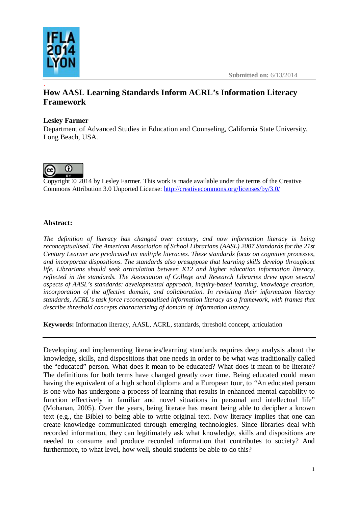

.

## **How AASL Learning Standards Inform ACRL's Information Literacy Framework**

## **Lesley Farmer**

Department of Advanced Studies in Education and Counseling, California State University, Long Beach, USA.



Copyright © 2014 by Lesley Farmer. This work is made available under the terms of the Creative Commons Attribution 3.0 Unported License: <http://creativecommons.org/licenses/by/3.0/>

## **Abstract:**

*The definition of literacy has changed over century, and now information literacy is being reconceptualised. The American Association of School Librarians (AASL) 2007 Standards for the 21st Century Learner are predicated on multiple literacies. These standards focus on cognitive processes, and incorporate dispositions. The standards also presuppose that learning skills develop throughout life. Librarians should seek articulation between K12 and higher education information literacy, reflected in the standards. The Association of College and Research Libraries drew upon several aspects of AASL's standards: developmental approach, inquiry-based learning, knowledge creation, incorporation of the affective domain, and collaboration. In revisiting their information literacy standards, ACRL's task force reconceptualised information literacy as a framework, with frames that describe threshold concepts characterizing of domain of information literacy.*

**Keywords:** Information literacy, AASL, ACRL, standards, threshold concept, articulation

Developing and implementing literacies/learning standards requires deep analysis about the knowledge, skills, and dispositions that one needs in order to be what was traditionally called the "educated" person. What does it mean to be educated? What does it mean to be literate? The definitions for both terms have changed greatly over time. Being educated could mean having the equivalent of a high school diploma and a European tour, to "An educated person is one who has undergone a process of learning that results in enhanced mental capability to function effectively in familiar and novel situations in personal and intellectual life" (Mohanan, 2005). Over the years, being literate has meant being able to decipher a known text (e.g., the Bible) to being able to write original text. Now literacy implies that one can create knowledge communicated through emerging technologies. Since libraries deal with recorded information, they can legitimately ask what knowledge, skills and dispositions are needed to consume and produce recorded information that contributes to society? And furthermore, to what level, how well, should students be able to do this?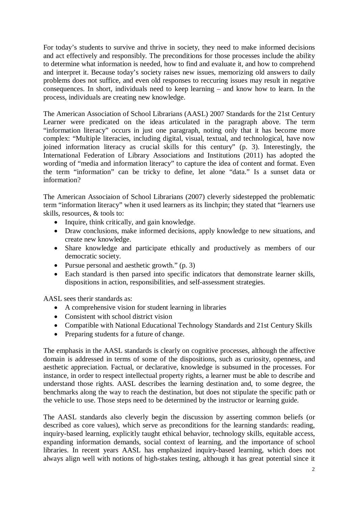For today's students to survive and thrive in society, they need to make informed decisions and act effectively and responsibly. The preconditions for those processes include the ability to determine what information is needed, how to find and evaluate it, and how to comprehend and interpret it. Because today's society raises new issues, memorizing old answers to daily problems does not suffice, and even old responses to reccuring issues may result in negative consequences. In short, individuals need to keep learning – and know how to learn. In the process, individuals are creating new knowledge.

The American Association of School Librarians (AASL) 2007 Standards for the 21st Century Learner were predicated on the ideas articulated in the paragraph above. The term "information literacy" occurs in just one paragraph, noting only that it has become more complex: "Multiple literacies, including digital, visual, textual, and technological, have now joined information literacy as crucial skills for this century" (p. 3). Interestingly, the International Federation of Library Associations and Institutions (2011) has adopted the wording of "media and information literacy" to capture the idea of content and format. Even the term "information" can be tricky to define, let alone "data." Is a sunset data or information?

The American Associaion of School Librarians (2007) cleverly sidestepped the problematic term "information literacy" when it used learners as its linchpin; they stated that "learners use skills, resources, & tools to:

- Inquire, think critically, and gain knowledge.
- Draw conclusions, make informed decisions, apply knowledge to new situations, and create new knowledge.
- Share knowledge and participate ethically and productively as members of our democratic society.
- Pursue personal and aesthetic growth." (p. 3)
- Each standard is then parsed into specific indicators that demonstrate learner skills, dispositions in action, responsibilities, and self-assessment strategies.

AASL sees therir standards as:

- A comprehensive vision for student learning in libraries
- Consistent with school district vision
- Compatible with National Educational Technology Standards and 21st Century Skills
- Preparing students for a future of change.

The emphasis in the AASL standards is clearly on cognitive processes, although the affective domain is addressed in terms of some of the dispositions, such as curiosity, openness, and aesthetic appreciation. Factual, or declarative, knowledge is subsumed in the processes. For instance, in order to respect intellectual property rights, a learner must be able to describe and understand those rights. AASL describes the learning destination and, to some degree, the benchmarks along the way to reach the destination, but does not stipulate the specific path or the vehicle to use. Those steps need to be determined by the instructor or learning guide.

The AASL standards also cleverly begin the discussion by asserting common beliefs (or described as core values), which serve as preconditions for the learning standards: reading, inquiry-based learning, explicitly taught ethical behavior, technology skills, equitable access, expanding information demands, social context of learning, and the importance of school libraries. In recent years AASL has emphasized inquiry-based learning, which does not always align well with notions of high-stakes testing, although it has great potential since it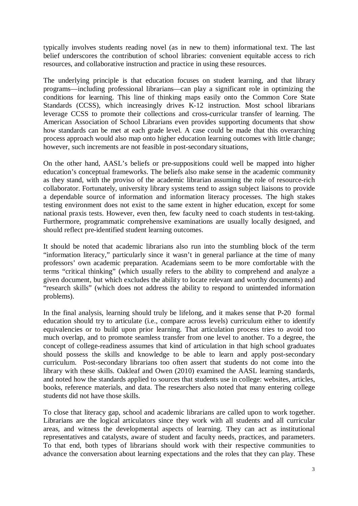typically involves students reading novel (as in new to them) informational text. The last belief underscores the contribution of school libraries: convenient equitable access to rich resources, and collaborative instruction and practice in using these resources.

The underlying principle is that education focuses on student learning, and that library programs—including professional librarians—can play a significant role in optimizing the conditions for learning. This line of thinking maps easily onto the Common Core State Standards (CCSS), which increasingly drives K-12 instruction. Most school librarians leverage CCSS to promote their collections and cross-curricular transfer of learning. The American Association of School Librarians even provides supporting documents that show how standards can be met at each grade level. A case could be made that this overarching process approach would also map onto higher education learning outcomes with little change; however, such increments are not feasible in post-secondary situations,

On the other hand, AASL's beliefs or pre-suppositions could well be mapped into higher education's conceptual frameworks. The beliefs also make sense in the academic community as they stand, with the proviso of the academic librarian assuming the role of resource-rich collaborator. Fortunately, university library systems tend to assign subject liaisons to provide a dependable source of information and information literacy processes. The high stakes testing environment does not exist to the same extent in higher education, except for some national praxis tests. However, even then, few faculty need to coach students in test-taking. Furthermore, programmatic comprehensive examinations are usually locally designed, and should reflect pre-identified student learning outcomes.

It should be noted that academic librarians also run into the stumbling block of the term "information literacy," particularly since it wasn't in general parliance at the time of many professors' own academic preparation. Academians seem to be more comfortable with the terms "critical thinking" (which usually refers to the ability to comprehend and analyze a given document, but which excludes the ability to locate relevant and worthy documents) and "research skills" (which does not address the ability to respond to unintended information problems).

In the final analysis, learning should truly be lifelong, and it makes sense that P-20 formal education should try to articulate (i.e., compare across levels) curriculum either to identify equivalencies or to build upon prior learning. That articulation process tries to avoid too much overlap, and to promote seamless transfer from one level to another. To a degree, the concept of college-readiness assumes that kind of articulation in that high school graduates should possess the skills and knowledge to be able to learn and apply post-secondary curriculum. Post-secondary librarians too often assert that students do not come into the library with these skills. Oakleaf and Owen (2010) examined the AASL learning standards, and noted how the standards applied to sources that students use in college: websites, articles, books, reference materials, and data. The researchers also noted that many entering college students did not have those skills.

To close that literacy gap, school and academic librarians are called upon to work together. Librarians are the logical articulators since they work with all students and all curricular areas, and witness the developmental aspects of learning. They can act as institutional representatives and catalysts, aware of student and faculty needs, practices, and parameters. To that end, both types of librarians should work with their respective communities to advance the conversation about learning expectations and the roles that they can play. These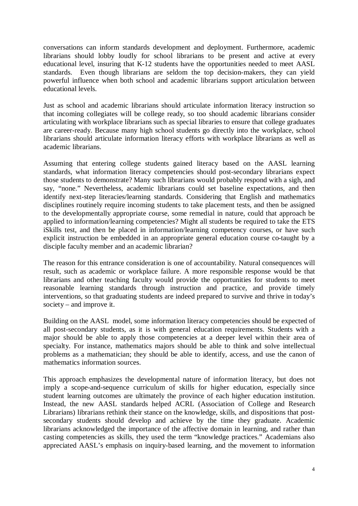conversations can inform standards development and deployment. Furthermore, academic librarians should lobby loudly for school librarians to be present and active at every educational level, insuring that K-12 students have the opportunities needed to meet AASL standards. Even though librarians are seldom the top decision-makers, they can yield powerful influence when both school and academic librarians support articulation between educational levels.

Just as school and academic librarians should articulate information literacy instruction so that incoming collegiates will be college ready, so too should academic librarians consider articulating with workplace librarians such as special libraries to ensure that college graduates are career-ready. Because many high school students go directly into the workplace, school librarians should articulate information literacy efforts with workplace librarians as well as academic librarians.

Assuming that entering college students gained literacy based on the AASL learning standards, what information literacy competencies should post-secondary librarians expect those students to demonstrate? Many such librarians would probably respond with a sigh, and say, "none." Nevertheless, academic librarians could set baseline expectations, and then identify next-step literacies/learning standards. Considering that English and mathematics disciplines routinely require incoming students to take placement tests, and then be assigned to the developmentally appropriate course, some remedial in nature, could that approach be applied to information/learning competencies? Might all students be required to take the ETS iSkills test, and then be placed in information/learning competency courses, or have such explicit instruction be embedded in an appropriate general education course co-taught by a disciple faculty member and an academic librarian?

The reason for this entrance consideration is one of accountability. Natural consequences will result, such as academic or workplace failure. A more responsible response would be that librarians and other teaching faculty would provide the opportunities for students to meet reasonable learning standards through instruction and practice, and provide timely interventions, so that graduating students are indeed prepared to survive and thrive in today's society – and improve it.

Building on the AASL model, some information literacy competencies should be expected of all post-secondary students, as it is with general education requirements. Students with a major should be able to apply those competencies at a deeper level within their area of specialty. For instance, mathematics majors should be able to think and solve intellectual problems as a mathematician; they should be able to identify, access, and use the canon of mathematics information sources.

This approach emphasizes the developmental nature of information literacy, but does not imply a scope-and-sequence curriculum of skills for higher education, especially since student learning outcomes are ultimately the province of each higher education institution. Instead, the new AASL standards helped ACRL (Association of College and Research Librarians) librarians rethink their stance on the knowledge, skills, and dispositions that postsecondary students should develop and achieve by the time they graduate. Academic librarians acknowledged the importance of the affective domain in learning, and rather than casting competencies as skills, they used the term "knowledge practices." Academians also appreciated AASL's emphasis on inquiry-based learning, and the movement to information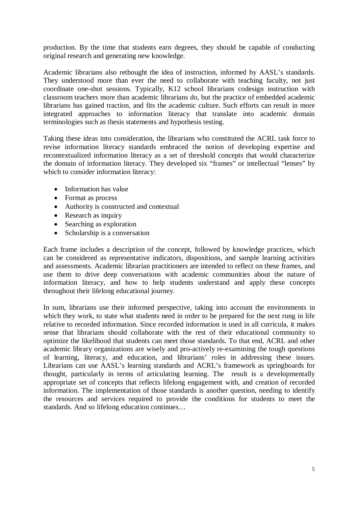production. By the time that students earn degrees, they should be capable of conducting original research and generating new knowledge.

Academic librarians also rethought the idea of instruction, informed by AASL's standards. They understood more than ever the need to collaborate with teaching faculty, not just coordinate one-shot sessions. Typically, K12 school librarians codesign instruction with classroom teachers more than academic librarians do, but the practice of embedded academic librarians has gained traction, and fits the academic culture. Such efforts can result in more integrated approaches to information literacy that translate into academic domain terminologies such as thesis statements and hypothesis testing.

Taking these ideas into consideration, the librarians who constituted the ACRL task force to revise information literacy standards embraced the notion of developing expertise and recontextualized information literacy as a set of threshold concepts that would characterize the domain of information literacy. They developed six "frames" or intellectual "lenses" by which to consider information literacy:

- Information has value
- Format as process
- Authority is constructed and contextual
- Research as inquiry
- Searching as exploration
- Scholarship is a conversation

Each frame includes a description of the concept, followed by knowledge practices, which can be considered as representative indicators, dispositions, and sample learning activities and assessments. Academic librarian practitioners are intended to reflect on these frames, and use them to drive deep conversations with academic communities about the nature of information literacy, and how to help students understand and apply these concepts throughout their lifelong educational journey.

In sum, librarians use their informed perspective, taking into account the environments in which they work, to state what students need in order to be prepared for the next rung in life relative to recorded information. Since recorded information is used in all curricula, it makes sense that librarians should collaborate with the rest of their educational community to optimize the likelihood that students can meet those standards. To that end, ACRL and other academic library organizations are wisely and pro-actively re-examining the tough questions of learning, literacy, and education, and librarians' roles in addressing these issues. Librarians can use AASL's learning standards and ACRL's framework as springboards for thought, particularly in terms of articulating learning. The result is a developmentally appropriate set of concepts that reflects lifelong engagement with, and creation of recorded information. The implementation of those standards is another question, needing to identify the resources and services required to provide the conditions for students to meet the standards. And so lifelong education continues…